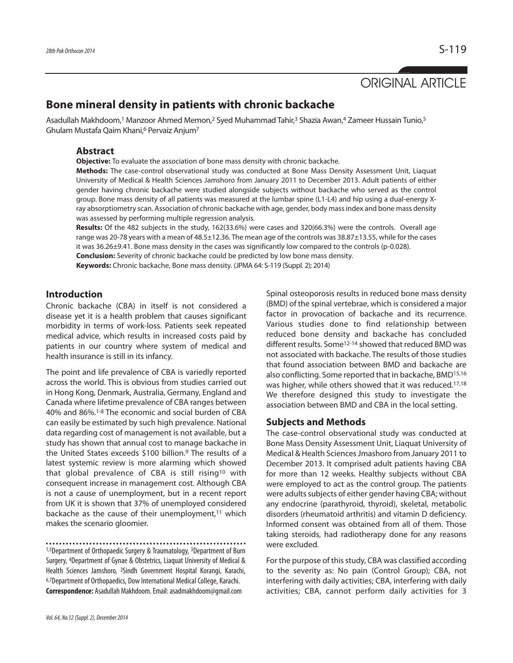# ORIGINAL ARTICLE

## **Bone mineral density in patients with chronic backache**

Asadullah Makhdoom,<sup>1</sup> Manzoor Ahmed Memon,<sup>2</sup> Syed Muhammad Tahir,<sup>3</sup> Shazia Awan,<sup>4</sup> Zameer Hussain Tunio,<sup>5</sup> Ghulam Mustafa Qaim Khani,<sup>6</sup> Pervaiz Anjum<sup>7</sup>

## **Abstract**

**Objective:** To evaluate the association of bone mass density with chronic backache.

**Methods:** The case-control observational study was conducted at Bone Mass Density Assessment Unit, Liaquat University of Medical & Health Sciences Jamshoro from January 2011 to December 2013. Adult patients of either gender having chronic backache were studied alongside subjects without backache who served as the control group. Bone mass density of all patients was measured at the lumbar spine (L1-L4) and hip using a dual-energy Xray absorptiometry scan. Association of chronic backache with age, gender, body mass index and bone mass density was assessed by performing multiple regression analysis.

**Results:** Of the 482 subjects in the study, 162(33.6%) were cases and 320(66.3%) were the controls. Overall age range was 20-78 years with a mean of 48.5±12.36. The mean age of the controls was 38.87±13.55, while for the cases it was 36.26±9.41. Bone mass density in the cases was significantly low compared to the controls (p-0.028). **Conclusion:** Severity of chronic backache could be predicted by low bone mass density.

**Keywords:** Chronic backache, Bone mass density. (JPMA 64: S-119 (Suppl. 2); 2014)

## **Introduction**

Chronic backache (CBA) in itself is not considered a disease yet it is a health problem that causes significant morbidity in terms of work-loss. Patients seek repeated medical advice, which results in increased costs paid by patients in our country where system of medical and health insurance is still in its infancy.

The point and life prevalence of CBA is variedly reported across the world. This is obvious from studies carried out in Hong Kong, Denmark, Australia, Germany, England and Canada where lifetime prevalence of CBA ranges between 40% and 86%.1-8 The economic and social burden of CBA can easily be estimated by such high prevalence. National data regarding cost of management is not available, but a study has shown that annual cost to manage backache in the United States exceeds \$100 billion.<sup>9</sup> The results of a latest systemic review is more alarming which showed that global prevalence of CBA is still rising<sup>10</sup> with consequent increase in management cost. Although CBA is not a cause of unemployment, but in a recent report from UK it is shown that 37% of unemployed considered backache as the cause of their unemployment,<sup>11</sup> which makes the scenario gloomier.

1,5Department of Orthopaedic Surgery & Traumatology, 3Department of Burn Surgery, <sup>4</sup>Department of Gynae & Obstetrics, Liaquat University of Medical & Health Sciences Jamshoro, <sup>2</sup>Sindh Government Hospital Korangi, Karachi, 6,7Department of Orthopaedics, Dow International Medical College, Karachi. **Correspondence:** Asadullah Makhdoom. Email: asadmakhdoom@gmail.com

Spinal osteoporosis results in reduced bone mass density (BMD) of the spinal vertebrae, which is considered a major factor in provocation of backache and its recurrence. Various studies done to find relationship between reduced bone density and backache has concluded different results. Some<sup>12-14</sup> showed that reduced BMD was not associated with backache. The results of those studies that found association between BMD and backache are also conflicting. Some reported that in backache, BMD15,16 was higher, while others showed that it was reduced.17,18 We therefore designed this study to investigate the association between BMD and CBA in the local setting.

## **Subjects and Methods**

The case-control observational study was conducted at Bone Mass Density Assessment Unit, Liaquat University of Medical & Health Sciences Jmashoro from January 2011 to December 2013. It comprised adult patients having CBA for more than 12 weeks. Healthy subjects without CBA were employed to act as the control group. The patients were adults subjects of either gender having CBA; without any endocrine (parathyroid, thyroid), skeletal, metabolic disorders (rheumatoid arthritis) and vitamin D deficiency. Informed consent was obtained from all of them. Those taking steroids, had radiotherapy done for any reasons were excluded.

For the purpose of this study, CBA was classified according to the severity as: No pain (Control Group); CBA, not interfering with daily activities; CBA, interfering with daily activities; CBA, cannot perform daily activities for 3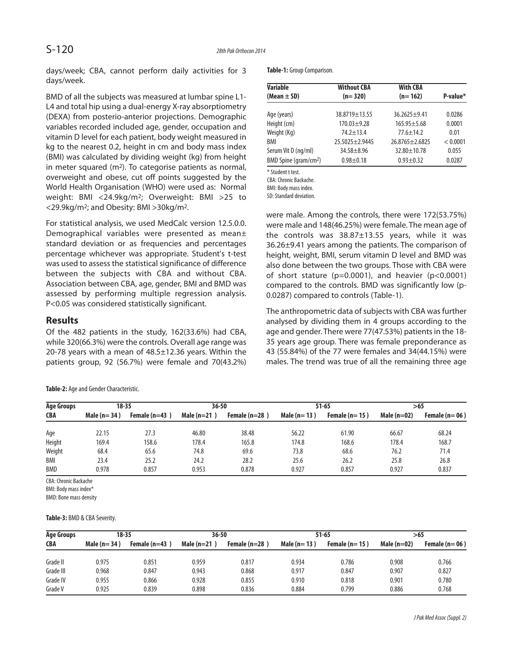days/week; CBA, cannot perform daily activities for 3 days/week.

BMD of all the subjects was measured at lumbar spine L1- L4 and total hip using a dual-energy X-ray absorptiometry (DEXA) from posterio-anterior projections. Demographic variables recorded included age, gender, occupation and vitamin D level for each patient, body weight measured in kg to the nearest 0.2, height in cm and body mass index (BMI) was calculated by dividing weight (kg) from height in meter squared (m<sup>2</sup>). To categorise patients as normal, overweight and obese, cut off points suggested by the World Health Organisation (WHO) were used as: Normal weight: BMI <24.9kg/m<sup>2</sup>; Overweight: BMI >25 to <29.9kg/m<sup>2</sup>; and Obesity: BMI >30kg/m<sup>2</sup>.

For statistical analysis, we used MedCalc version 12.5.0.0. Demographical variables were presented as mean± standard deviation or as frequencies and percentages percentage whichever was appropriate. Student's t-test was used to assess the statistical significance of difference between the subjects with CBA and without CBA. Association between CBA, age, gender, BMI and BMD was assessed by performing multiple regression analysis. P<0.05 was considered statistically significant.

## **Results**

Of the 482 patients in the study, 162(33.6%) had CBA, while 320(66.3%) were the controls. Overall age range was 20-78 years with a mean of 48.5±12.36 years. Within the patients group, 92 (56.7%) were female and 70(43.2%)

**Table-2:** Age and Gender Characteristic.

**Table-1:** Group Comparison.

| <b>Variable</b>                   | <b>Without CBA</b>   | <b>With CBA</b>    |          |
|-----------------------------------|----------------------|--------------------|----------|
| (Mean $\pm$ SD)                   | $(n=320)$            | $(n=162)$          | P-value* |
| Age (years)                       | 38.8719 ± 13.55      | $36.2625 + 9.41$   | 0.0286   |
| Height (cm)                       | $170.03 \pm 9.28$    | $165.95 \pm 5.68$  | 0.0001   |
| Weight (Kg)                       | $74.2 \pm 13.4$      | $77.6 \pm 14.2$    | 0.01     |
| BMI                               | $25.5025 \pm 2.9445$ | $26.8765 + 2.6825$ | < 0.0001 |
| Serum Vit D (ng/ml)               | $34.58 + 8.96$       | $32.80 + 10.78$    | 0.055    |
| BMD Spine (gram/cm <sup>2</sup> ) | $0.98 \pm 0.18$      | $0.93 \pm 0.32$    | 0.0287   |

\* Student t test.

CBA: Chronic Backache.

BMI: Body mass index.

SD: Standard deviation.

were male. Among the controls, there were 172(53.75%) were male and 148(46.25%) were female. The mean age of the controls was 38.87±13.55 years, while it was 36.26±9.41 years among the patients. The comparison of height, weight, BMI, serum vitamin D level and BMD was also done between the two groups. Those with CBA were of short stature ( $p=0.0001$ ), and heavier ( $p<0.0001$ ) compared to the controls. BMD was significantly low (p-0.0287) compared to controls (Table-1).

The anthropometric data of subjects with CBA was further analysed by dividing them in 4 groups according to the age and gender. There were 77(47.53%) patients in the 18- 35 years age group. There was female preponderance as 43 (55.84%) of the 77 were females and 34(44.15%) were males. The trend was true of all the remaining three age

| <b>Age Groups</b> | $18 - 35$     |                 | $36 - 50$     |                 | $51 - 65$     |                 | >65           |                 |
|-------------------|---------------|-----------------|---------------|-----------------|---------------|-----------------|---------------|-----------------|
| CBA               | Male $(n=34)$ | Female $(n=43)$ | Male $(n=21)$ | Female $(n=28)$ | Male $(n=13)$ | Female $(n=15)$ | Male $(n=02)$ | Female $(n=06)$ |
| Age               | 22.15         | 27.3            | 46.80         | 38.48           | 56.22         | 61.90           | 66.67         | 68.24           |
| Height            | 169.4         | 158.6           | 178.4         | 165.8           | 174.8         | 168.6           | 178.4         | 168.7           |
| Weight            | 68.4          | 65.6            | 74.8          | 69.6            | 73.8          | 68.6            | 76.2          | 71.4            |
| BMI<br><b>BMD</b> | 23.4<br>0.978 | 25.2<br>0.857   | 24.2<br>0.953 | 28.2<br>0.878   | 25.6<br>0.927 | 26.2<br>0.857   | 25.8<br>0.927 | 26.8<br>0.837   |

CBA: Chronic Backache

BMI: Body mass index\*

BMD: Bone mass density

**Table-3:** BMD & CBA Severity.

| <b>Age Groups</b> | 18-35           |                 | $36 - 50$     |                 | $51 - 65$     |                 | >65           |                 |
|-------------------|-----------------|-----------------|---------------|-----------------|---------------|-----------------|---------------|-----------------|
| <b>CBA</b>        | Male ( $n=34$ ) | Female $(n=43)$ | Male $(n=21)$ | Female $(n=28)$ | Male $(n=13)$ | Female $(n=15)$ | Male $(n=02)$ | Female $(n=06)$ |
| Grade II          | 0.975           | 0.851           | 0.959         | 0.817           | 0.934         | 0.786           | 0.908         | 0.766           |
| Grade III         | 0.968           | 0.847           | 0.943         | 0.868           | 0.917         | 0.847           | 0.907         | 0.827           |
| Grade IV          | 0.955           | 0.866           | 0.928         | 0.855           | 0.910         | 0.818           | 0.901         | 0.780           |
| Grade V           | 0.925           | 0.839           | 0.898         | 0.836           | 0.884         | 0.799           | 0.886         | 0.768           |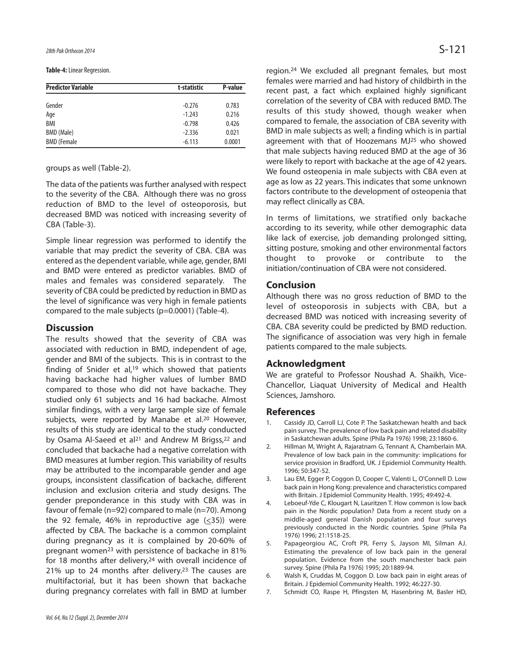**Table-4:** Linear Regression.

| <b>Predictor Variable</b> | t-statistic | P-value |  |
|---------------------------|-------------|---------|--|
| Gender                    | $-0.276$    | 0.783   |  |
| Age                       | $-1.243$    | 0.216   |  |
| BMI                       | $-0.798$    | 0.426   |  |
| BMD (Male)                | $-2.336$    | 0.021   |  |
| <b>BMD</b> (Female        | $-6.113$    | 0.0001  |  |

#### groups as well (Table-2).

The data of the patients was further analysed with respect to the severity of the CBA. Although there was no gross reduction of BMD to the level of osteoporosis, but decreased BMD was noticed with increasing severity of CBA (Table-3).

Simple linear regression was performed to identify the variable that may predict the severity of CBA. CBA was entered as the dependent variable, while age, gender, BMI and BMD were entered as predictor variables. BMD of males and females was considered separately. The severity of CBA could be predicted by reduction in BMD as the level of significance was very high in female patients compared to the male subjects (p=0.0001) (Table-4).

## **Discussion**

The results showed that the severity of CBA was associated with reduction in BMD, independent of age, gender and BMI of the subjects. This is in contrast to the finding of Snider et al, $19$  which showed that patients having backache had higher values of lumber BMD compared to those who did not have backache. They studied only 61 subjects and 16 had backache. Almost similar findings, with a very large sample size of female subjects, were reported by Manabe et al.<sup>20</sup> However, results of this study are identical to the study conducted by Osama Al-Saeed et al<sup>21</sup> and Andrew M Brigss, <sup>22</sup> and concluded that backache had a negative correlation with BMD measures at lumber region. This variability of results may be attributed to the incomparable gender and age groups, inconsistent classification of backache, different inclusion and exclusion criteria and study designs. The gender preponderance in this study with CBA was in favour of female (n=92) compared to male (n=70). Among the 92 female, 46% in reproductive age  $(\leq 35)$ ) were affected by CBA. The backache is a common complaint during pregnancy as it is complained by 20-60% of pregnant women<sup>23</sup> with persistence of backache in 81% for 18 months after delivery,<sup>24</sup> with overall incidence of 21% up to 24 months after delivery.<sup>23</sup> The causes are multifactorial, but it has been shown that backache during pregnancy correlates with fall in BMD at lumber region.<sup>24</sup> We excluded all pregnant females, but most females were married and had history of childbirth in the recent past, a fact which explained highly significant correlation of the severity of CBA with reduced BMD. The results of this study showed, though weaker when compared to female, the association of CBA severity with BMD in male subjects as well; a finding which is in partial agreement with that of Hoozemans MJ<sup>25</sup> who showed that male subjects having reduced BMD at the age of 36 were likely to report with backache at the age of 42 years. We found osteopenia in male subjects with CBA even at age as low as 22 years. This indicates that some unknown factors contribute to the development of osteopenia that may reflect clinically as CBA.

In terms of limitations, we stratified only backache according to its severity, while other demographic data like lack of exercise, job demanding prolonged sitting, sitting posture, smoking and other environmental factors thought to provoke or contribute to the initiation/continuation of CBA were not considered.

## **Conclusion**

Although there was no gross reduction of BMD to the level of osteoporosis in subjects with CBA, but a decreased BMD was noticed with increasing severity of CBA. CBA severity could be predicted by BMD reduction. The significance of association was very high in female patients compared to the male subjects.

## **Acknowledgment**

We are grateful to Professor Noushad A. Shaikh, Vice-Chancellor, Liaquat University of Medical and Health Sciences, Jamshoro.

## **References**

- Cassidy JD, Carroll LJ, Cote P. The Saskatchewan health and back pain survey. The prevalence of low back pain and related disability in Saskatchewan adults. Spine (Phila Pa 1976) 1998; 23:1860-6.
- 2. Hillman M, Wright A, Rajaratnam G, Tennant A, Chamberlain MA. Prevalence of low back pain in the community: implications for service provision in Bradford, UK. J Epidemiol Community Health. 1996; 50:347-52.
- 3. Lau EM, Egger P, Coggon D, Cooper C, Valenti L, O'Connell D. Low back pain in Hong Kong: prevalence and characteristics compared with Britain. J Epidemiol Community Health. 1995; 49:492-4.
- 4. Leboeuf-Yde C, Klougart N, Lauritzen T. How common is low back pain in the Nordic population? Data from a recent study on a middle-aged general Danish population and four surveys previously conducted in the Nordic countries. Spine (Phila Pa 1976) 1996; 21:1518-25.
- 5. Papageorgiou AC, Croft PR, Ferry S, Jayson MI, Silman AJ. Estimating the prevalence of low back pain in the general population. Evidence from the south manchester back pain survey. Spine (Phila Pa 1976) 1995; 20:1889-94.
- 6. Walsh K, Cruddas M, Coggon D. Low back pain in eight areas of Britain. J Epidemiol Community Health. 1992; 46:227-30.
- 7. Schmidt CO, Raspe H, Pfingsten M, Hasenbring M, Basler HD,